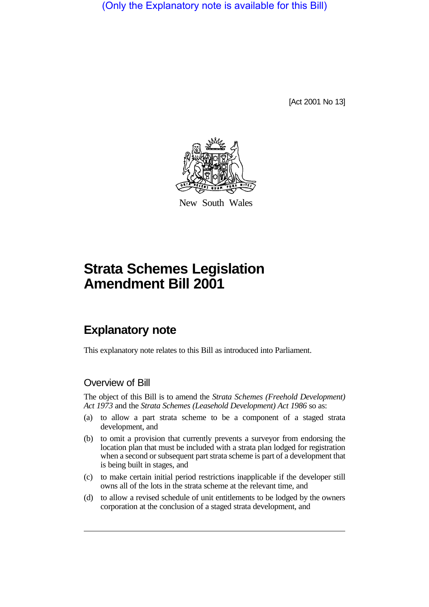(Only the Explanatory note is available for this Bill)

[Act 2001 No 13]



New South Wales

# **Strata Schemes Legislation Amendment Bill 2001**

## **Explanatory note**

This explanatory note relates to this Bill as introduced into Parliament.

### Overview of Bill

The object of this Bill is to amend the *Strata Schemes (Freehold Development) Act 1973* and the *Strata Schemes (Leasehold Development) Act 1986* so as:

- (a) to allow a part strata scheme to be a component of a staged strata development, and
- (b) to omit a provision that currently prevents a surveyor from endorsing the location plan that must be included with a strata plan lodged for registration when a second or subsequent part strata scheme is part of a development that is being built in stages, and
- (c) to make certain initial period restrictions inapplicable if the developer still owns all of the lots in the strata scheme at the relevant time, and
- (d) to allow a revised schedule of unit entitlements to be lodged by the owners corporation at the conclusion of a staged strata development, and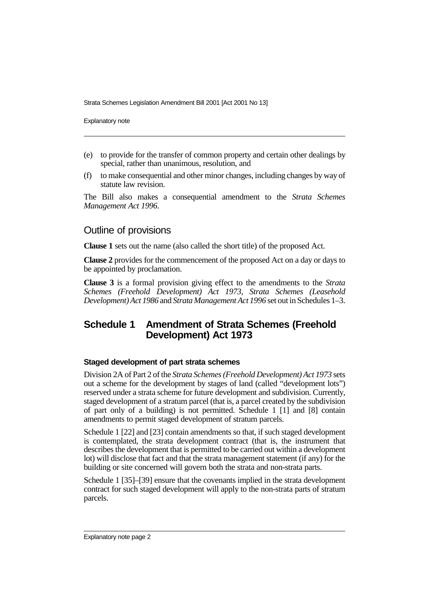Explanatory note

- (e) to provide for the transfer of common property and certain other dealings by special, rather than unanimous, resolution, and
- (f) to make consequential and other minor changes, including changes by way of statute law revision.

The Bill also makes a consequential amendment to the *Strata Schemes Management Act 1996*.

#### Outline of provisions

**Clause 1** sets out the name (also called the short title) of the proposed Act.

**Clause 2** provides for the commencement of the proposed Act on a day or days to be appointed by proclamation.

**Clause 3** is a formal provision giving effect to the amendments to the *Strata Schemes (Freehold Development) Act 1973*, *Strata Schemes (Leasehold Development) Act 1986* and *Strata Management Act 1996* set out in Schedules 1–3.

## **Schedule 1 Amendment of Strata Schemes (Freehold Development) Act 1973**

#### **Staged development of part strata schemes**

Division 2A of Part 2 of the *Strata Schemes (Freehold Development) Act 1973* sets out a scheme for the development by stages of land (called "development lots") reserved under a strata scheme for future development and subdivision. Currently, staged development of a stratum parcel (that is, a parcel created by the subdivision of part only of a building) is not permitted. Schedule 1 [1] and [8] contain amendments to permit staged development of stratum parcels.

Schedule 1 [22] and [23] contain amendments so that, if such staged development is contemplated, the strata development contract (that is, the instrument that describes the development that is permitted to be carried out within a development lot) will disclose that fact and that the strata management statement (if any) for the building or site concerned will govern both the strata and non-strata parts.

Schedule 1 [35]–[39] ensure that the covenants implied in the strata development contract for such staged development will apply to the non-strata parts of stratum parcels.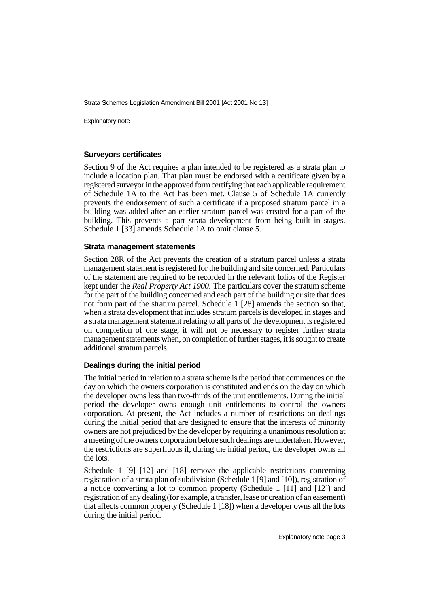Explanatory note

#### **Surveyors certificates**

Section 9 of the Act requires a plan intended to be registered as a strata plan to include a location plan. That plan must be endorsed with a certificate given by a registered surveyor in the approved form certifying that each applicable requirement of Schedule 1A to the Act has been met. Clause 5 of Schedule 1A currently prevents the endorsement of such a certificate if a proposed stratum parcel in a building was added after an earlier stratum parcel was created for a part of the building. This prevents a part strata development from being built in stages. Schedule 1 [33] amends Schedule 1A to omit clause 5.

#### **Strata management statements**

Section 28R of the Act prevents the creation of a stratum parcel unless a strata management statement is registered for the building and site concerned. Particulars of the statement are required to be recorded in the relevant folios of the Register kept under the *Real Property Act 1900*. The particulars cover the stratum scheme for the part of the building concerned and each part of the building or site that does not form part of the stratum parcel. Schedule 1 [28] amends the section so that, when a strata development that includes stratum parcels is developed in stages and a strata management statement relating to all parts of the development is registered on completion of one stage, it will not be necessary to register further strata management statements when, on completion of further stages, it is sought to create additional stratum parcels.

#### **Dealings during the initial period**

The initial period in relation to a strata scheme is the period that commences on the day on which the owners corporation is constituted and ends on the day on which the developer owns less than two-thirds of the unit entitlements. During the initial period the developer owns enough unit entitlements to control the owners corporation. At present, the Act includes a number of restrictions on dealings during the initial period that are designed to ensure that the interests of minority owners are not prejudiced by the developer by requiring a unanimous resolution at a meeting of the owners corporation before such dealings are undertaken. However, the restrictions are superfluous if, during the initial period, the developer owns all the lots.

Schedule 1 [9]–[12] and [18] remove the applicable restrictions concerning registration of a strata plan of subdivision (Schedule 1 [9] and [10]), registration of a notice converting a lot to common property (Schedule 1 [11] and [12]) and registration of any dealing (for example, a transfer, lease or creation of an easement) that affects common property (Schedule 1 [18]) when a developer owns all the lots during the initial period.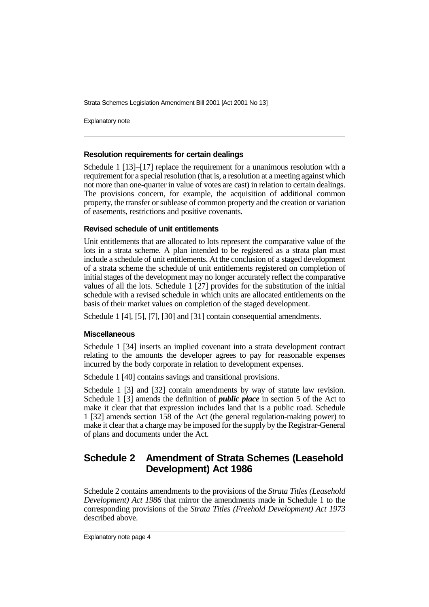Explanatory note

#### **Resolution requirements for certain dealings**

Schedule 1 [13]–[17] replace the requirement for a unanimous resolution with a requirement for a special resolution (that is, a resolution at a meeting against which not more than one-quarter in value of votes are cast) in relation to certain dealings. The provisions concern, for example, the acquisition of additional common property, the transfer or sublease of common property and the creation or variation of easements, restrictions and positive covenants.

#### **Revised schedule of unit entitlements**

Unit entitlements that are allocated to lots represent the comparative value of the lots in a strata scheme. A plan intended to be registered as a strata plan must include a schedule of unit entitlements. At the conclusion of a staged development of a strata scheme the schedule of unit entitlements registered on completion of initial stages of the development may no longer accurately reflect the comparative values of all the lots. Schedule 1 [27] provides for the substitution of the initial schedule with a revised schedule in which units are allocated entitlements on the basis of their market values on completion of the staged development.

Schedule 1 [4], [5], [7], [30] and [31] contain consequential amendments.

#### **Miscellaneous**

Schedule 1 [34] inserts an implied covenant into a strata development contract relating to the amounts the developer agrees to pay for reasonable expenses incurred by the body corporate in relation to development expenses.

Schedule 1 [40] contains savings and transitional provisions.

Schedule 1 [3] and [32] contain amendments by way of statute law revision. Schedule 1 [3] amends the definition of *public place* in section 5 of the Act to make it clear that that expression includes land that is a public road. Schedule 1 [32] amends section 158 of the Act (the general regulation-making power) to make it clear that a charge may be imposed for the supply by the Registrar-General of plans and documents under the Act.

## **Schedule 2 Amendment of Strata Schemes (Leasehold Development) Act 1986**

Schedule 2 contains amendments to the provisions of the *Strata Titles (Leasehold Development) Act 1986* that mirror the amendments made in Schedule 1 to the corresponding provisions of the *Strata Titles (Freehold Development) Act 1973* described above.